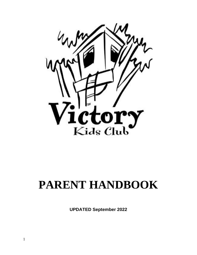

# **PARENT HANDBOOK**

**UPDATED September 2022**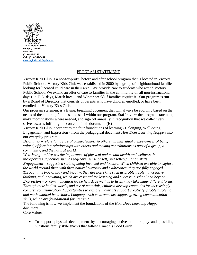

# PROGRAM STATEMENT

Victory Kids Club is a not-for-profit, before and after school program that is located in Victory Public School. Victory Kids Club was established in 2000 by a group of neighbourhood families looking for licensed child care in their area. We provide care to students who attend Victory Public School. We extend an offer of care to families in the community on all non-instructional days (i.e. P.A. days, March break, and Winter break) if families require it. Our program is run by a Board of Directors that consists of parents who have children enrolled, or have been enrolled, in Victory Kids Club.

Our program statement is a living, breathing document that will always be evolving based on the needs of the children, families, and staff within our program. Staff review the program statement, make modifications where needed, and sign off annually in recognition that we collectively strive towards fulfilling the content of this document. **(K)**

Victory Kids Club incorporates the four foundations of learning - Belonging, Well-being, Engagement, and Expression - from the pedagogical document *How Does Learning Happen* into our everyday program.

*Belonging – refers to a sense of connectedness to others, an individual's experiences of being valued, of forming relationships with others and making contributions as part of a group, a community, and the natural world.*

*Well-being - addresses the importance of physical and mental health and wellness. It incorporates capacities such as self-care, sense of self, and self-regulation skills.* 

*Engagement – suggests a state of being involved and focused. When children are able to explore the world around them with their natural curiosity and exuberance, they are fully engaged. Through this type of play and inquiry, they develop skills such as problem solving, creative thinking, and innovating, which are essential for learning and success in school and beyond. Expression – or communication (to be heard, as well as to listen) may take many different forms. Through their bodies, words, and use of materials, children develop capacities for increasingly complex communication. Opportunities to explore materials support creativity, problem solving, and mathematical behaviours. Language-rich environments support growing communication skills, which are foundational for literacy.<sup>i</sup>*

The following is how we implement the foundations of the *How Does Learning Happen* document:

Core Values:

• To support physical development by encouraging active outdoor play and providing nutritious family style snacks that follow Canada's Food Guide.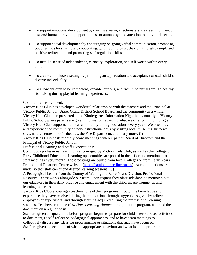- To support emotional development by creating a warm, affectionate, and safe environment or "second home"; providing opportunities for autonomy; and attention to individual needs.
- To support social development by encouraging on-going verbal communication, promoting opportunities for sharing and cooperating, guiding children's behaviour through example and positive redirection, and promoting self-regulation skills.
- To instill a sense of independence, curiosity, exploration, and self-worth within every child.
- To create an inclusive setting by promoting an appreciation and acceptance of each child's diverse individuality.
- To allow children to be competent, capable, curious, and rich in potential through healthy risk taking during playful learning experiences.

# Community Involvement:

Victory Kids Club has developed wonderful relationships with the teachers and the Principal at Victory Public School, Upper Grand District School Board, and the community as a whole. Victory Kids Club is represented at the Kindergarten Information Night held annually at Victory Public School, where parents are given information regarding what we offer within our program. Victory Kids Club supports the local community through donations every year. We often travel and experience the community on non-instructional days by visiting local museums, historical sites, nature centres, movie theatres, the Fire Department, and many more. **(I)**

Victory Kids Club hosts monthly board meetings with our parent Board of Directors and the Principal of Victory Public School.

Professional Learning and Staff Expectations:

Continuous professional learning is encouraged by Victory Kids Club, as well as the College of Early Childhood Educators. Learning opportunities are posted in the office and mentioned at staff meetings every month. These postings are pulled from local Colleges or from Early Years Professional Resource Centre website [\(https://catalogue.wellington.ca/\)](https://catalogue.wellington.ca/). Accommodations are made, so that staff can attend desired learning sessions. **(J)**

A Pedagogical Leader from the County of Wellington, Early Years Division, Professional Resource Centre works alongside our team; upon request they offer side-by-side mentorship to our educators in their daily practice and engagement with the children, environments, and learning materials.

Victory Kids Club encourages teachers to lead their programs through the knowledge and experience they have received during their education, through suggestions given by fellow employees or supervisors, and through learning acquired during the professional learning sessions. Teachers reference *How Does Learning Happen* throughout the program, and read the document on a regular basis.

Staff are given adequate time before program begins to prepare for child-interest-based activities, to document, to self-reflect on pedagogical approaches, and to have team meetings to collectively discuss any ideas for programming or situations that may have occurred. Staff are given expectations of what is appropriate behaviour and what is not appropriate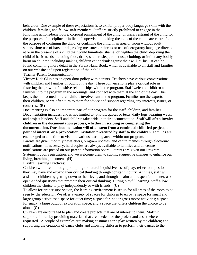behaviour. One example of these expectations is to exhibit proper body language skills with the children, families, and fellow staff members. Staff are strictly prohibited to engage in the following actions/behaviours: corporal punishment of the child; physical restraint of the child for the purposes of discipline or in lieu of supervision; locking the exits of the child care centre for the purpose of confining the child, or confining the child in an area or room without adult supervision; use of harsh or degrading measures or threats or use of derogatory language directed at or in the presence of a child that would humiliate, shame, or frighten the child; depriving the child of basic needs including food, drink, shelter, sleep, toilet use, clothing; or inflict any bodily harm on children including making children eat or drink against their will. \*This list can be found containing more detail in the Parent Hand Book, which is available to all staff and families on our website and upon registration of their child.

# Teacher-Parent Communication:

Victory Kids Club has an open-door policy with parents. Teachers have various conversations with children and families throughout the day. These conversations play a critical role in fostering the growth of positive relationships within the program. Staff welcome children and families into the program in the mornings, and connect with them at the end of the day. This keeps them informed on their child's involvement in the program. Families are the experts on their children, so we often turn to them for advice and support regarding any interests, issues, or concerns. **(B)**

Documenting is also an important part of our program for the staff, children, and families. Documentation includes, and is not limited to: photos, quotes or texts, daily logs, learning webs, and project binders. Staff and children take pride in their documentation. **Staff will often involve children in the documentation process, whether in scribing or completing the documentation. Our documentation will often stem from a continued child-led project, a point of interest, or a provocation/invitation presented by staff to the children.** Families are encouraged to take time to visit the various learning areas within our program. Parents are given monthly newsletters, program updates, and centre memos through electronic notifications. If necessary, hard copies are always available to families and all centre

notifications are posted on our parent information board. Parents are given our Program Statement upon registration, and we welcome them to submit suggestive changes to enhance our living, breathing document. **(H)**

# Playful Learning Practices:

Children will often, through prompting or natural inquisitiveness of play, reflect on questions they may have and expand their critical thinking through constant inquiry. At times, staff will assist the children by getting down to their level, and through a calm and respectful manner, ask open-ended questions that promote their critical thinking. During playful learning, staff allow children the choice to play independently or with friends. **(C)**

To allow for proper supervision, the learning environment is set up for all areas of the room to be seen by the educator. We offer a variety of spaces for children to enjoy: a space for small and large group activities; a space for quiet time; a space for indoor gross motor activities; a space for snack; a large outdoor exploration space; and a space that offers children the choice to be alone. **(G)**

Children are encouraged to plan and create projects that are of interest to them. Staff will support children by providing materials that are needed for the project and assist where requested. A couple of examples are: making costumes for a play written by the children; and supporting the creations of dance clubs and allowing children to perform their dances to the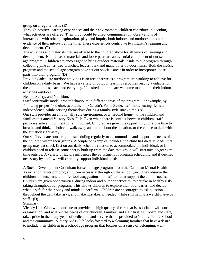group on a regular basis. **(E)**

Through positive learning experiences and their environment, children contribute in deciding what activities are offered. Their input could be direct communication; observations of interactions with others; exploration, play, and inquiry both indoors and outdoors; or other evidence of their interests at the time. These experiences contribute to children's learning and development. **(F)**

The activities and materials that are offered to the children allow for all levels of learning and development. Nature based materials and loose parts are an essential component of our school age program. Children are encouraged to bring outdoor materials inside to our program through collecting pine cones, tree branches, leaves, bark and many other outdoor items. Both the JK/SK program and the school age program have set out specific areas in order to incorporate loose parts into their program. **(D)**

Providing adequate outdoor activities is an area that we as a program are working to achieve for children on a daily basis. We have a variety of outdoor learning resources readily available for the children to use each and every day. If desired, children are welcome to continue their indoor activities outdoors.

# Health, Safety, and Nutrition:

Staff continually model proper behaviours in different areas of the program. For example, by following proper food choices outlined in Canada's Food Guide, staff model eating skills and independence, while serving themselves during a family-style snack time. **(A)**

Our staff provides an emotionally safe environment or a "second home" to the children and families that attend Victory Kids Club. Even when there is conflict between children, staff provide a safe environment for all involved. Children are given the opportunity for alone time to breathe and think, a choice to walk away and think about the situation, or the choice to deal with the situation right away.

Our staff evaluates our program scheduling regularly to accommodate and support the needs of the children within their groups. A couple of examples includes: if a child has dietary needs, that group may eat snack first on our daily schedule rotation to accommodate the individual; or if children need to release some energy built up from the day, that group will start outside/get extra time outside. A variety of factors influences the adjustment of program scheduling and if deemed necessary by staff, we will certainly support individual needs.

A Social Development Consultant for school age programs from the Canadian Mental Health Association, visits our program when necessary throughout the school year. They observe the children and teachers, and offer tools/suggestions for staff to better support the child's needs. Children are given opportunities, during indoor and outdoor activities, to partake in healthy risktaking throughout our program. This allows children to explore their boundaries, and decide what is safe for their body and minds to perform. Children are encouraged to ask questions throughout the day, take risks, and make mistakes, if needed; while still having a watchful eye by staff. **(D)**

# Summary

Victory Kids Club will continue to provide the high quality of care that is associated with our organization, and will put the needs of our children, families, and staff first. Our board and staff, takes pride in the many years of dedication and service that is provided to Victory Public School and the community. Victory Kids Club looks forward to welcoming families that have a desire to include their children in a school age program that focuses on a sense of belonging, well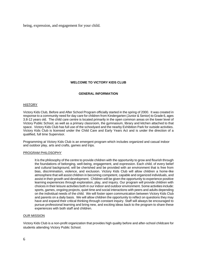being, expression, and engagement for your child.

# **WELCOME TO VICTORY KIDS CLUB**

#### **GENERAL INFORMATION**

#### **HISTORY**

Victory Kids Club, Before and After School Program officially started in the spring of 2000. It was created in response to a community need for day care for children from Kindergarten (Junior & Senior) to Grade 6, ages 3.8-12 years old. The child care centre is located primarily in the open common areas on the lower level of Victory Public School, as well as a primary classroom, the gymnasium, library and kitchen attached to that space. Victory Kids Club has full use of the schoolyard and the nearby Exhibition Park for outside activities. Victory Kids Club is licensed under the Child Care and Early Years Act and is under the direction of a qualified, full time Supervisor.

Programming at Victory Kids Club is an emergent program which includes organized and casual indoor and outdoor play, arts and crafts, games and trips.

#### PROGRAM PHILOSOPHY

It is the philosophy of the centre to provide children with the opportunity to grow and flourish through the foundations of belonging, well-being, engagement, and expression. Each child, of every belief and cultural background, will be cherished and be provided with an environment that is free from bias, discrimination, violence, and exclusion. Victory Kids Club will allow children a home-like atmosphere that will assist children in becoming competent, capable and organized individuals, and assist in their growth and development. Children will be given the opportunity to experience positive learning experiences through exploration, play, and inquiry. Our program will provide children with choices in their leisure activities both in our indoor and outdoor environment. Some activities include: sports, games, ongoing projects, quiet time and social interactions with peers and adults depending on the individual needs of the child. We will foster open communication between Victory Kids Club and parents on a daily basis. We will allow children the opportunity to reflect on questions they may have and expand their critical thinking through constant inquiry. Staff will always be encouraged to pursue professional learning and bring new, and exciting ideas back to the program to share these experiences with both staff and children.

#### OUR MISSION

Victory Kids Club is a non-profit organization that provides high quality before and after-school childcare for students attending Victory Public School.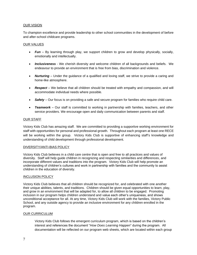#### OUR VISION

To champion excellence and provide leadership to other school communities in the development of before and after-school childcare programs.

#### OUR VALUES

- **Fun** By learning through play, we support children to grow and develop physically, socially, emotionally and intellectually.
- *Inclusiveness*  We cherish diversity and welcome children of all backgrounds and beliefs. We endeavour to provide an environment that is free from bias, discrimination and violence.
- **Nurturing** Under the guidance of a qualified and loving staff, we strive to provide a caring and home-like atmosphere.
- *Respect* We believe that all children should be treated with empathy and compassion, and will accommodate individual needs where possible.
- *Safety* Our focus is on providing a safe and secure program for families who require child care.
- *Teamwork* Our staff is committed to working in partnership with families, teachers, and other service providers. We encourage open and daily communication between parents and staff.

#### OUR STAFF

Victory Kids Club has amazing staff. We are committed to providing a supportive working environment for staff with opportunities for personal and professional growth. Throughout each program at least one RECE will be working within the group. Victory Kids Club is supportive of enhancing staff's knowledge and understanding of child development through professional development.

#### DIVERSITY/ANTI-BIAS POLICY

Victory Kids Club believes in a child care centre that is open and free to all practices and values of diversity. Staff will help guide children in recognizing and respecting similarities and differences, and incorporate different values and traditions into the program. Victory Kids Club will help promote an understanding of children's cultures and work in partnership with families and the community to assist children in the education of diversity.

#### INCLUSION POLICY

Victory Kids Club believes that all children should be recognized for, and celebrated with one another their unique abilities, talents, and traditions. Children should be given equal opportunities to learn, play, and grow in an environment that will be adapted for, to allow all children to be engaged. Promoting inclusion in our program helps children understand and value each other's uniqueness, and shows unconditional acceptance for all. At any time, Victory Kids Club will work with the families, Victory Public School, and any outside agency to provide an inclusive environment for any children enrolled in the program.

#### OUR CURRICULUM

Victory Kids Club follows the emergent curriculum program, which is based on the children's interest and references the document "*How Does Learning Happen*" during the program. All documentation will be reflected on our program web sheets, which are located within each group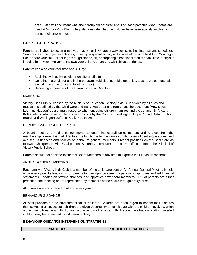area. Staff will document what their group did or talked about on each particular day. Photos are used at Victory Kids Club to help demonstrate what the children have been actively involved in during their time with us.

#### PARENT PARTICIPATION

Parents are invited, to become involved in activities in whatever way best suits their interests and schedules. You are welcome to join in activities, to set up a special activity or to come along on a field trip. You might like to share your cultural heritage through stories, art, or preparing a traditional food at snack time. Use your imagination. Your involvement allows your child to share you with childcare friends.

Parents can also volunteer time and skill by:

- Assisting with activities either on site or off site
- Donating materials for use in the programs (old clothing, old electronics, toys, recycled materials excluding egg cartons and toilet rolls, etc)
- Becoming a member of the Parent Board of Directors

#### LICENSING

Victory Kids Club is licensed by the Ministry of Education. Victory Kids Club abides by all rules and regulations outlined by the Child Care and Early Years Act and references the document "How Does Learning Happen" as a primary resource when engaging children, families and the community. Victory Kids Club will also have regular inspection visits by the County of Wellington, Upper Grand District School Board, and Wellington Dufferin Public Health Unit.

#### DECISION MAKING AT THE CENTRE

A board meeting is held once per month to determine overall policy matters and to elect, from the membership, a new Board of Directors. Its function is to maintain a constant view of centre operations, and oversee its finances and policies on behalf of general members. Present positions on the Board are as follows: Chairperson, Vice-Chairperson, Secretary, Treasurer, and an Ex-Offico member, the Principal of Victory Public School.

Parents should not hesitate to contact Board Members at any time to express their ideas or concerns.

#### ANNUAL GENERAL MEETING

Each family at Victory Kids Club is a member of the child care centre. An Annual General Meeting is held once every year. Its function is for parents to give input concerning operations, approves audited financial statements, updates on staffing changes, and approves new board members. 60% of parents are either present at the meeting or are represented by members of the board through proxy forms.

All parents are encouraged to attend every year.

#### BEHAVIOUR GUIDANCE

All staff provides a safe environment for all children. Children are encouraged to handle their disputes themselves. If unsuccessful, children are given opportunity to: talk it over with the children involved, given alone time to breathe and think, given a choice to walk away and think about the situation, and/or if needed children may be redirected to a different activity.

# **BEHAVIOUR GUIDANCE INTERVENTION STRATEGIES**

| <b>PRACTICES</b> | <b>PROHIBITED PRACTICES</b> |
|------------------|-----------------------------|
|------------------|-----------------------------|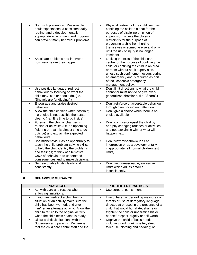| Start with prevention. Reasonable<br>$\blacksquare$<br>adult expectations, a consistent daily<br>routine, and a developmentally<br>appropriate environment and program<br>can prevent many behaviour problems.                                       | Physical restraint of the child, such as<br>٠<br>confining the child to a seat for the<br>purposes of discipline or in lieu of<br>supervision, unless the physical<br>restraint is for the purpose of<br>preventing a child from hurting<br>themselves or someone else and only<br>until the risk of injury is no longer<br>imminent. |
|------------------------------------------------------------------------------------------------------------------------------------------------------------------------------------------------------------------------------------------------------|---------------------------------------------------------------------------------------------------------------------------------------------------------------------------------------------------------------------------------------------------------------------------------------------------------------------------------------|
| Anticipate problems and intervene<br>positively before they happen.                                                                                                                                                                                  | Locking the exits of the child care<br>٠<br>centre for the purpose of confining the<br>child, or confining the child in an area<br>or room without adult supervision,<br>unless such confinement occurs during<br>an emergency and is required as part<br>of the licensee's emergency<br>management policy.                           |
| Use positive language; redirect<br>Ξ<br>behaviour by focusing on what the<br>child may, can or should do. (i.e.<br>"Shovels are for digging".)                                                                                                       | Don't limit directions to what the child<br>×,<br>cannot or must not do or give over-<br>generalized directions. (i.e. "Share".)                                                                                                                                                                                                      |
| Encourage and praise desired<br>$\blacksquare$<br>behaviour.                                                                                                                                                                                         | Don't reinforce unacceptable behaviour<br>×,<br>through direct or indirect attention.                                                                                                                                                                                                                                                 |
| Allow the child choices when possible;<br>٠<br>if a choice is not possible then state<br>clearly. (i.e. "It is time to go inside".)                                                                                                                  | Don't give a choice when there is no<br>choice available.                                                                                                                                                                                                                                                                             |
| Forewarn the child of changes in<br>٠<br>routine or activities (i.e. an upcoming<br>field trip or that it is almost time to go<br>outside) and explain the expected<br>behaviours.                                                                   | Don't confuse or upset the child by<br>٠<br>abruptly changing routines or activities<br>and not explaining why or what will<br>happen next.                                                                                                                                                                                           |
| Use misbehaviour as an opportunity to<br>٠<br>teach the child problem-solving skills;<br>to help the child identify the problems<br>and feelings; to think of alternative<br>ways of behaviour; to understand<br>consequences and to make decisions. | Don't view misbehaviour as an<br>Ξ<br>interruption or as a developmentally<br>inappropriate (all normal children test<br>limits).                                                                                                                                                                                                     |
| Set reasonable limits clearly and<br>٠<br>consistently.                                                                                                                                                                                              | Don't set unreasonable, excessive<br>٠<br>limits which adults enforce<br>inconsistently.                                                                                                                                                                                                                                              |

# **6. BEHAVIOUR GUIDANCE**

| <b>PRACTICES</b>                                                                                                                                                                                                                                  | <b>PROHIBITED PRACTICES</b>                                                                                                                                                                                                                              |
|---------------------------------------------------------------------------------------------------------------------------------------------------------------------------------------------------------------------------------------------------|----------------------------------------------------------------------------------------------------------------------------------------------------------------------------------------------------------------------------------------------------------|
| Act with care and respect when<br>enforcing limitations.                                                                                                                                                                                          | Use corporal punishment.                                                                                                                                                                                                                                 |
| If you must redirect a child from a<br>situation or an activity make sure the<br>child has been warned, and give<br>him/her an alternate activity. Allow the<br>child to return to the original activity<br>when the child feels he/she is ready. | Use of harsh or degrading measures or<br>threats or use of derogatory language<br>directed at or used in the presence of a<br>child that would humiliate, shame or<br>frighten the child or undermine his or<br>her self-respect, dignity or self-worth. |
| Discuss difficult situations with the<br>Supervisor and parents. Remember<br>that the child care centre staff and the                                                                                                                             | Deprive the child of basis needs<br>including food, drink, shelter, sleep,<br>toilet use, clothing and bedding; or                                                                                                                                       |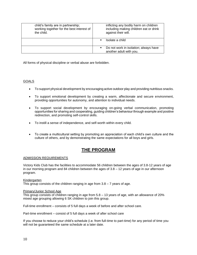| child's family are in partnership;<br>working together for the best interest of<br>the child. | inflicting any bodily harm on children<br>including making children eat or drink<br>against their will. |
|-----------------------------------------------------------------------------------------------|---------------------------------------------------------------------------------------------------------|
|                                                                                               | Isolate a child<br>$\blacksquare$                                                                       |
|                                                                                               | Do not work in isolation; always have<br>$\blacksquare$<br>another adult with you.                      |

All forms of physical discipline or verbal abuse are forbidden.

# GOALS

- To support physical development by encouraging active outdoor play and providing nutritious snacks.
- To support emotional development by creating a warm, affectionate and secure environment, providing opportunities for autonomy, and attention to individual needs.
- To support social development by encouraging on-going verbal communication, promoting opportunities for sharing and cooperating, guiding children's behaviour through example and positive redirection, and promoting self-control skills.
- To instill a sense of independence, and self-worth within every child.
- To create a multicultural setting by promoting an appreciation of each child's own culture and the culture of others, and by demonstrating the same expectations for all boys and girls.

# **THE PROGRAM**

# ADMISSION REQUIREMENTS

Victory Kids Club has the facilities to accommodate 56 children between the ages of 3.8-12 years of age in our morning program and 84 children between the ages of 3.8 – 12 years of age in our afternoon program.

# Kindergarten

This group consists of the children ranging in age from  $3.8 - 7$  years of age.

#### Primary/Junior School Age

This group consists of children ranging in age from 5.8 – 13 years of age, with an allowance of 20% mixed age grouping allowing 6 SK children to join this group.

Full-time enrollment – consists of 5 full days a week of before and after school care.

Part-time enrollment – consist of 5 full days a week of after school care

If you choose to reduce your child's schedule (i.e. from full-time to part-time) for any period of time you will not be guaranteed the same schedule at a later date.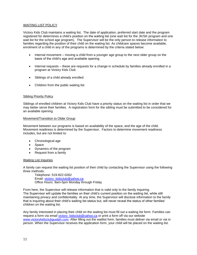#### WAITING LIST POLICY

Victory Kids Club maintains a waiting list. The date of application, preferred start date and the program registered for determines a child's position on the waiting list (one wait list for the JK/SK program and one wait list for the school age program). The Supervisor will be the only person to release information to families regarding the position of their child on the waiting list. As childcare spaces become available, enrolment of a child in any of the programs is determined by the criteria stated below:

- Internal movement moving a child from a younger age group to the next older group on the basis of the child's age and available opening
- Internal requests these are requests for a change in schedule by families already enrolled in a program at Victory Kids Club
- Siblings of a child already enrolled
- Children from the public waiting list

#### Sibling Priority Policy

Siblings of enrolled children at Victory Kids Club have a priority status on the waiting list in order that we may better serve their families. A registration form for the sibling must be submitted to be considered for an available opening.

#### Movement/Transition to Older Group

Movement between our programs is based on availability of the space, and the age of the child. Movement readiness is determined by the Supervisor. Factors to determine movement readiness includes, but are not limited to:

- Chronological age
- Space
- Dynamics of the program
- Request from a family

#### Waiting List Inquiries

A family can request the waiting list position of their child by contacting the Supervisor using the following three methods:

Telephone: 519-822-0262 Email: [victory\\_kidsclub@yahoo.ca](mailto:victory_kidsclub@yahoo.ca) Office Hours: 9am-5pm Monday through Friday

From here, the Supervisor will release information that is valid only to the family inquiring. The Supervisor will update the families on their child's current position on the waiting list, while still maintaining privacy and confidentiality. At any time, the Supervisor will disclose information to the family that is inquiring about their child's waiting list status but, will never reveal the status of other families' children on the waiting list.

Any family interested in placing their child on the waiting list must fill out a waiting list form. Families can request a form via email [victory\\_kidsclub@yahoo.ca](mailto:victory_kidsclub@yahoo.ca) or print a form off via our website [www.victorykidsclubguelph.com.](http://www.victorykidsclubguelph.com/) After filling out the waitlist form, families must deliver via email or via in person. When the Supervisor receives the application form, your child will be placed on the waiting list.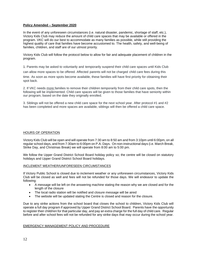#### **Policy Amended – September 2020**

In the event of any unforeseen circumstances (i.e. natural disaster, pandemic, shortage of staff, etc.), Victory Kids Club may reduce the amount of child care spaces that may be available or offered in the program. VKC will do our best to accommodate as many families as possible, while still providing the highest quality of care that families have become accustomed to. The health, safety, and well-being of families, children, and staff are of our utmost priority.

Victory Kids Club will follow the protocol below to allow for fair and adequate placement of children in the program.

1. Parents may be asked to voluntarily and temporarily suspend their child care spaces until Kids Club

can allow more spaces to be offered. Affected parents will not be charged child care fees during this

time. As soon as more spots become available, these families will have first priority for obtaining their spot back.

2. If VKC needs more families to remove their children temporarily from their child care spots, then the following will be implemented. Child care spaces will be given to those families that have seniority within our program, based on the date they originally enrolled.

3. Siblings will not be offered a new child care space for the next school year. After protocol #1 and #2 has been completed and more spaces are available, siblings will then be offered a child care space.

# HOURS OF OPERATION

Victory Kids Club will be open and will operate from 7:30 am to 8:50 am and from 3:10pm until 6:00pm, on all regular school days, and from 7:30am to 6:00pm on P.A. Days. On non-instructional days (i.e. March Break, Strike Day, and Christmas Break) we will operate from 8:00 am to 5:00 pm.

We follow the Upper Grand District School Board holiday policy so; the centre will be closed on statutory holidays and Upper Grand District School Board holidays.

#### INCLEMENT WEATHER/UNFORESEEN CIRCUMSTANCES

If Victory Public School is closed due to inclement weather or any unforeseen circumstances, Victory Kids Club will be closed as well and fees will not be refunded for those days. We will endeavor to update the following:

- A message will be left on the answering machine stating the reason why we are closed and for the length of the closure
- The local radio station will be notified and closure message will be aired
- The website will be updated stating the Centre is closed and reason for the closure.

Due to any strike actions from the school board that closes the school to children, Victory Kids Club will operate a full day program if approved by Upper Grand District School Board. Parents have the opportunity to register their child/ren for that particular day, and pay an extra charge for the full day of child care. Regular before and after school fees will not be refunded for any strike days that may occur during the school year.

#### EMERGENCY MANAGEMENT POLICY AND PROCEDURE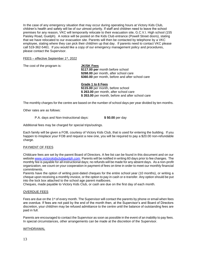In the case of any emergency situation that may occur during operating hours at Victory Kids Club, children's health and safety will be of our utmost priority. If staff and children need to leave the school premises for any reason, VKC will temporarily relocate to their evacuation site, G.C.V.I. High school (155 Paisley Road, Guelph). A notice will be posted on the Kids Club entrance (Powell Street doors), stating that we have relocated to our evacuation site. Parents will then be contacted by telephone by a VKC employee, stating where they can pick their child/ren up that day. If parents need to contact VKC please call 519-362-5461. If you would like a copy of our emergency management policy and procedures, please contact the Supervisor.

#### FEES - effective September 1<sup>st</sup>, 2022

The cost of the program is: **JK/SK Fees**

**\$117.00 per** month before school **\$268.00** per month, after school care **\$360.00** per month, before and after school care

**Grade 1 to 6 Fees \$115.00** per month, before school **\$ 263.00** per month, after school care **\$ 353.00** per month, before and after school care

The monthly charges for the centre are based on the number of school days per year divided by ten months.

Other rates are as follows:

P.A. days and Non-Instructional days: **\$ 50.00** per day

Additional fees may be charged for special trips/outings.

Each family will be given a FOB, courtesy of Victory Kids Club, that is used for entering the building. If you happen to misplace your FOB and request a new one, you will be required to pay a \$20.00 non-refundable charge.

# PAYMENT OF FEES

Childcare fees are set by the parent Board of Directors. A fee list can be found in this document and on our website [www.victorykidsclubguelph.com.](http://www.victorykidsclubguelph.com/) Parents will be notified in writing 60 days prior to fee changes. The monthly fee is payable for all instructional days; no refunds will be made for any absent days. As a non-profit organization, we count on your cooperation in payment of fees on time in order to meet our monthly financial commitments.

Parents have the option of writing post-dated cheques for the entire school year (10 months), or writing a cheque upon receiving a monthly invoice, or the option to pay in cash or e-transfer. Any option should be put into the lock box attached to the school age parent mailboxes.

Cheques, made payable to Victory Kids Club, or cash are due on the first day of each month.

#### OVERDUE FEES

Fees are due on the 1<sup>st</sup> of every month. The Supervisor will contact the parents by phone or email when fees are overdue. If fees are not paid by the end of the month then, at the Supervisor's and Board of Directors discretion, your child/ren may be refused admittance to the centre until the balance of outstanding fees are paid in full.

Parents are encouraged to contact the Supervisor as soon as possible in the event of an inability to pay fees. In special circumstances, other arrangements can be made at the discretion of the Supervisor.

#### WITHDRAWAL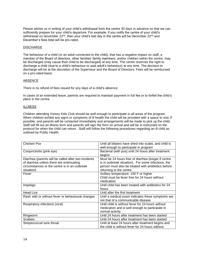Please advise us in writing of your child's withdrawal from the centre 30 days in advance so that we can sufficiently prepare for your child's departure. For example, if you notify the centre of your child's withdrawal on November 22<sup>nd</sup>, then your child's last day in the centre will be December 22<sup>nd</sup> and December's fees total will be pro-rated.

#### DISCHARGE

The behaviour of a child (or an adult connected to the child), that has a negative impact on staff, a member of the Board of directors, other families' family members, and/or children within the centre, may be discharged (may cause their child to be discharged) at any time. The centre reserves the right to discharge a child (due to a child's behaviour or said adult's behaviour) at any time. The decision to discharge will be at the discretion of the Supervisor and the Board of Directors. Fees will be reimbursed on a pro-rated-basis.

#### ABSENCE

There is no refund of fees issued for any days of a child's absence.

In cases of an extended leave, parents are required to maintain payment in full fee or to forfeit the child's place in the centre.

#### **ILLNESS**

Children attending Victory Kids Club should be well enough to participate in all areas of the program. When children exhibit any signs or symptoms of ill health the child will be provided with a space to rest, if possible, and parents will be contacted immediately and arrangements will be made to pick up the child. Staff will fill out an illness form and parents will sign the form on arrival and will be in instructed on the protocol for when the child can return. Staff will follow the following procedures regarding an ill child as outlined by Public Health.

| Chicken Pox                                                                                                                                                     | Until all blisters have dried into scabs, and child is<br>well enough to participate in program                                                                                               |
|-----------------------------------------------------------------------------------------------------------------------------------------------------------------|-----------------------------------------------------------------------------------------------------------------------------------------------------------------------------------------------|
| Conjunctivitis (pink eye)                                                                                                                                       | Bacterial (with pus) until 24 hours after treatment<br>begins                                                                                                                                 |
| Diarrhea (parents will be called after two incidents<br>of diarrhea unless there are extenuating<br>circumstances or the centre is in an outbreak<br>situation) | Must be 24 hours free of diarrhea (longer if centre<br>is in outbreak situation). For some infections, the<br>person must also be treated with antibiotics before<br>returning to the centre. |
| Fever                                                                                                                                                           | Axillary temperature: 100 F or higher<br>Child must be fever free for 24 hours without<br>medication                                                                                          |
| Impetigo                                                                                                                                                        | Until child has been treated with antibiotics for 24<br>hours                                                                                                                                 |
| <b>Head Lice</b>                                                                                                                                                | Until after the first treatment                                                                                                                                                               |
| Rash with or without fever or behavioural changes                                                                                                               | Until a medical exam indicates these symptoms are<br>not that of a communicable disease                                                                                                       |
| Respiratory infections (viral)                                                                                                                                  | Until child is without fever for 24 hours without<br>medication and is well enough to participate in<br>normal activity                                                                       |
| Ringworm                                                                                                                                                        | Until 24 hours after treatment has been started                                                                                                                                               |
| <b>Scabies</b>                                                                                                                                                  | Until 24 hours after treatment has been started                                                                                                                                               |
| Streptococcal sore throat                                                                                                                                       | Until at least 24 hours after treatment begins and<br>the child is without fever for 24 hours without                                                                                         |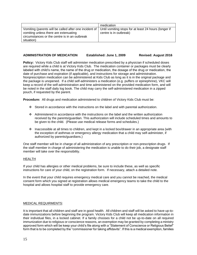|                                                                                                                                                                  | medication                                                                      |
|------------------------------------------------------------------------------------------------------------------------------------------------------------------|---------------------------------------------------------------------------------|
| Vomiting (parents will be called after one incident of  <br>vomiting unless there are extenuating<br>circumstances or the centre is in an outbreak<br>situation) | Until vomiting stops for at least 24 hours (longer if<br>centre is in outbreak) |

| <b>ADMINISTRATION OF MEDICATION</b> | Established: June 1, 2009 | <b>Revised: August 2016</b> |
|-------------------------------------|---------------------------|-----------------------------|
|-------------------------------------|---------------------------|-----------------------------|

**Policy:** Victory Kids Club staff will administer medication prescribed by a physician if scheduled doses are required while a child is at Victory Kids Club. The medication container or packages must be clearly labeled with child's name, the name of the drug or medication, the dosage of the drug or medication, the date of purchase and expiration (if applicable), and instructions for storage and administration. Nonprescription medication can be administered at Kids Club as long as it is in the original package and the package is unopened. If a child self-administers a medication (e.g. puffers or epinephrine), VKC will keep a record of the self-administration and time administered on the provided medication form, and will be noted in the staff daily log book. The child may carry the self-administered medication in a zipped pouch, if requested by the parent.

**Procedure:** All drugs and medication administered to children of Victory Kids Club must be:

- ❖ Stored in accordance with the instructions on the label and with parental authorization.
- ❖ Administered in accordance with the instructions on the label and the written authorization received by the parents/guardian. This authorization will include scheduled times and amounts to be given to the child. (Please use medical release forms and schedules.)
- ❖ Inaccessible at all times to children, and kept in a locked box/drawer in an appropriate area (with the exception of asthmas or emergency allergy medication that a child may self-administer, if authorized by parents/guardians.)

One staff member will be in charge of all administration of any prescription or non-prescription drugs. If the staff member in charge of administering the medication is unable to do their job, a designate staff member will take over the responsibility.

# HEALTH

If your child has allergies or other medical problems, be sure to include these, as well as specific instructions for care of your child, on the registration form. If necessary, attach a detailed note.

In the event that your child requires emergency medical care and you cannot be reached, the medical consent form which you signed at registration allows medical emergency teams to take the child to the hospital and allows hospital staff to provide emergency care.

#### MEDICAL REQUIRMENTS:

It is important that all children and staff are in good health. All children and staff will be asked to have up-todate immunizations before beginning the program. Victory Kids Club will keep all medication information in their individual files, in a locked cabinet. If a family chooses for a child not be up-to-date on all required immunization due to religious or conscience reasons, an exemption may be granted by completing a ministry approved form which will be keep your child's file along with a "Statement of Conscience or Religious Belief" form that is to be completed by the "commissioner for taking affidavits". If this is a medical exemption, families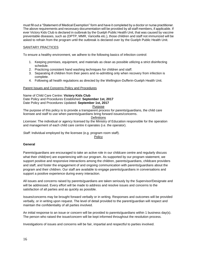must fill out a "Statement of Medical Exemption" form and have it completed by a doctor or nurse practitioner. The above requirements and necessary documentation will be provided by all staff members, if applicable. If ever Victory Kids Club is declared in outbreak by the Guelph Public Health Unit, that was caused by vaccine preventable diseases, such as (DPTP, MMR, Varicella etc.), those children and staff not immunized will be asked to refrain from the program until the outbreak is declared over by the Guelph Public Health Unit.

# SANITARY PRACTICES

To ensure a healthy environment, we adhere to the following basics of infection control:

- 1. Keeping premises, equipment, and materials as clean as possible utilizing a strict disinfecting schedule.
- 2. Practicing consistent hand washing techniques for children and staff.
- 3. Separating ill children from their peers and re-admitting only when recovery from infection is complete.
- 4. Following all health regulations as directed by the Wellington-Dufferin-Guelph Health Unit.

#### Parent Issues and Concerns Policy and Procedures

Name of Child Care Centre: **Victory Kids Club** Date Policy and Procedures Established: **September 1st, 2017** Date Policy and Procedures Updated: **September 1st, 2017**

#### Purpose

The purpose of this policy is to provide a transparent process for parents/guardians, the child care licensee and staff to use when parents/guardians bring forward issues/concerns.

#### **Definitions**

*Licensee*: The individual or agency licensed by the Ministry of Education responsible for the operation and management of each child care centre it operates (i.e. the operator).

*Staff*: Individual employed by the licensee (e.g. program room staff).

**Policy** 

# **General**

Parents/guardians are encouraged to take an active role in our childcare centre and regularly discuss what their child(ren) are experiencing with our program. As supported by our program statement, we support positive and responsive interactions among the children, parents/guardians, childcare providers and staff, and foster the engagement of and ongoing communication with parents/guardians about the program and their children. Our staff are available to engage parents/guardians in conversations and support a positive experience during every interaction.

All issues and concerns raised by parents/guardians are taken seriously by the Supervisor/Designate and will be addressed. Every effort will be made to address and resolve issues and concerns to the satisfaction of all parties and as quickly as possible.

Issues/concerns may be brought forward verbally or in writing. Responses and outcomes will be provided verbally, or in writing upon request. The level of detail provided to the parent/guardian will respect and maintain the confidentiality of all parties involved.

An initial response to an issue or concern will be provided to parents/guardians within 1 business day(s). The person who raised the issue/concern will be kept informed throughout the resolution process.

Investigations of issues and concerns will be fair, impartial and respectful to parties involved.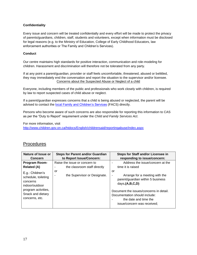# **Confidentiality**

Every issue and concern will be treated confidentially and every effort will be made to protect the privacy of parents/guardians, children, staff, students and volunteers, except when information must be disclosed for legal reasons (e.g. to the Ministry of Education, College of Early Childhood Educators, law enforcement authorities or The Family and Children's Services).

# **Conduct**

Our centre maintains high standards for positive interaction, communication and role-modeling for children. Harassment and discrimination will therefore not be tolerated from any party.

If at any point a parent/guardian, provider or staff feels uncomfortable, threatened, abused or belittled, they may immediately end the conversation and report the situation to the supervisor and/or licensee. Concerns about the Suspected Abuse or Neglect of a child

Everyone, including members of the public and professionals who work closely with children, is required by law to report suspected cases of child abuse or neglect.

If a parent/guardian expresses concerns that a child is being abused or neglected, the parent will be advised to contact the **local Family and Children's Services** (FACS) directly.

Persons who become aware of such concerns are also responsible for reporting this information to CAS as per the "Duty to Report" requirement under the *Child and Family Services Act*.

For more information, visit

<http://www.children.gov.on.ca/htdocs/English/childrensaid/reportingabuse/index.aspx>

| Address the issue/concern at the<br>Program Room-<br>Raise the issue or concern to                                                                                                                                                                                                                                                                                                                                                                                                         | Nature of Issue or<br><b>Concern</b> | <b>Steps for Parent and/or Guardian</b><br>to Report Issue/Concern: | Steps for Staff and/or Licensee in<br>responding to issue/concern: |
|--------------------------------------------------------------------------------------------------------------------------------------------------------------------------------------------------------------------------------------------------------------------------------------------------------------------------------------------------------------------------------------------------------------------------------------------------------------------------------------------|--------------------------------------|---------------------------------------------------------------------|--------------------------------------------------------------------|
| time it is raised<br>the classroom staff directly<br><b>Related (A)</b><br>or<br>or<br>E.g.: Children's<br>the Supervisor or Designate.<br>Arrange for a meeting with the<br>schedule, toileting<br>parent/guardian within 5 business<br>concerns<br>days. $(A,B,C,D)$<br>indoor/outdoor<br>program activities,<br>Document the issues/concerns in detail.<br>Snack and dietary<br>Documentation should include:<br>concerns, etc.<br>the date and time the<br>issue/concern was received; |                                      |                                                                     |                                                                    |

# **Procedures**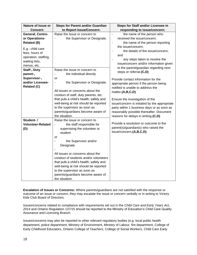| Nature of Issue or                                                           | <b>Steps for Parent and/or Guardian</b>                                                                                                                                                                                                                                                                                                                             | Steps for Staff and/or Licensee in                                                                                                                                                                                                    |
|------------------------------------------------------------------------------|---------------------------------------------------------------------------------------------------------------------------------------------------------------------------------------------------------------------------------------------------------------------------------------------------------------------------------------------------------------------|---------------------------------------------------------------------------------------------------------------------------------------------------------------------------------------------------------------------------------------|
| <b>Concern</b>                                                               | to Report Issue/Concern:                                                                                                                                                                                                                                                                                                                                            | responding to issue/concern:                                                                                                                                                                                                          |
| General, Centre-<br>or Operations-<br><b>Related (B)</b><br>E.g.: child care | Raise the issue or concern to<br>the Supervisor or Designate.                                                                                                                                                                                                                                                                                                       | the name of the person who<br>$\blacksquare$<br>received the issue/concern;<br>the name of the person reporting<br>$\qquad \qquad \blacksquare$<br>the issue/concern;                                                                 |
| fees, hours of<br>operation, staffing,<br>waiting lists,<br>menus, etc.      |                                                                                                                                                                                                                                                                                                                                                                     | the details of the issue/concern;<br>$\qquad \qquad \blacksquare$<br>and<br>any steps taken to resolve the<br>$\qquad \qquad \blacksquare$<br>issue/concern and/or information given<br>to the parent/guardian regarding next         |
| Staff-, Duty<br>parent-,                                                     | Raise the issue or concern to<br>the individual directly                                                                                                                                                                                                                                                                                                            | steps or referral.(C,D)                                                                                                                                                                                                               |
| Supervisor-,<br>and/or Licensee-<br><b>Related (C)</b>                       | or<br>the Supervisor or Designate.<br>$\qquad \qquad \blacksquare$                                                                                                                                                                                                                                                                                                  | Provide contact information for the<br>appropriate person if the person being<br>notified is unable to address the                                                                                                                    |
|                                                                              | All issues or concerns about the<br>conduct of staff, duty parents, etc.<br>that puts a child's health, safety and<br>well-being at risk should be reported<br>to the supervisor as soon as<br>parents/guardians become aware of<br>the situation.                                                                                                                  | matter.(A,B,C,D)<br>Ensure the investigation of the<br>issue/concern is initiated by the appropriate<br>party within 1 business days or as soon as<br>reasonably possible thereafter. Document<br>reasons for delays in writing.(C,D) |
| Student-/<br><b>Volunteer-Related</b><br>(D)                                 | Raise the issue or concern to<br>the staff responsible for<br>$\frac{1}{2}$<br>supervising the volunteer or<br>student<br>or<br>the Supervisor and/or<br>Designate.<br>All issues or concerns about the<br>conduct of students and/or volunteers<br>that puts a child's health, safety and<br>well-being at risk should be reported<br>to the supervisor as soon as | Provide a resolution or outcome to the<br>parent(s)/guardian(s) who raised the<br>issue/concern.(A,B,C,D)                                                                                                                             |
|                                                                              | parents/guardians become aware of<br>the situation.                                                                                                                                                                                                                                                                                                                 |                                                                                                                                                                                                                                       |

**Escalation of Issues or Concerns:** Where parents/guardians are not satisfied with the response or outcome of an issue or concern, they may escalate the issue or concern verbally or in writing to Victory Kids Club Board of Directors.

Issues/concerns related to compliance with requirements set out in the *Child Care and Early Years Act., 2014* and Ontario Regulation 137/15 should be reported to the Ministry of Education's Child Care Quality Assurance and Licensing Branch.

Issues/concerns may also be reported to other relevant regulatory bodies (e.g. local public health department, police department, Ministry of Environment, Ministry of Labour, fire department, College of Early Childhood Educators, Ontario College of Teachers, College of Social Workers, Child Care Early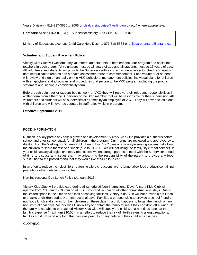Years Division – 519-837-3620 x. 3095 or [childcareinquiries@wellington.ca](mailto:childcareinquiries@wellington.ca) etc.) where appropriate.

**Contacts:** Allison Silva (RECE) – Supervisor Victory Kids Club 519-822-0262

Ministry of Education, Licensed Child Care Help Desk: 1-877-510-5333 or childcare ontario@ontario.ca

#### **Volunteer and Student Placement Policy**

Victory Kids Club will welcome any volunteers and students to help enhance our program and assist the teachers in each group. All volunteers must be 18 years of age and all students must be 16 years of age. All volunteers and students will provide the Supervisor with a current vulnerable sector check and up-todate immunization records and a health assessment prior to commencement. Each volunteer or student will review and sign off annually on the VKC behavioral management policies, individual plans for children with anaphylaxis and all policies and procedures that pertain to the VKC program including the program statement and signing a confidentiality form.

Before each volunteer or student begins work at VKC they will receive their roles and responsibilities in written form, from either the Supervisor or the Staff member that will be responsible for their supervision. All volunteers and students will be supervised at all times by an employee of VKC. They will never be left alone with children and will never be counted in staff ratios while in program.

#### **Effective September 2011**

# FOOD INFORMATION

Nutrition is a key part to any child's growth and development. Victory Kids Club provides a nutritious beforeschool and after-school snack for all children in the program. Our menus are reviewed and approved by a dietitian from the Wellington-Dufferin Public Health Unit. VKC uses a family-style serving system that allows the children to serve themselves snack (due to COV-19, we will not using the family style meal service). If your child has any allergies or dietary restrictions, we encourage parents to meet with the Supervisor ahead of time to discuss any issues that may arise. It is the responsibility of the parent to provide any food substitution to the posted menu that they would like their child to eat.

In an effort to reduce the risk of life-threatening allergic reactions, we no longer allow food products containing peanuts or other nuts into our centre.

#### Non-Instructional Day Lunch Policy (January 2015)

Victory Kids Club will provide care during all scheduled Non-Instructional Days. Victory Kids Club will operate from 7:30 am to 6:00 pm on all P.A. Days and 8-5 pm on all other non-instructional days. Due to the limited space in the kitchen and lack of cooking facilities, Victory Kids Club will not provide a hot lunch or snacks to children during Non-Instructional days. Families are responsible to provide a school friendly nutritious lunch and snacks for their children on these days. If a child happens to forget their lunch on any non-instructional days, Victory Kids Club will try to contact the family to see if they can drop off a lunch. If the family is not able to be reached Victory Kids Club will supply the child with a nutritious lunch at the family's expense (maximum \$10.00). In an effort to reduce the risk of life-threatening allergic reactions, families must not send any food that contains peanuts or any nuts with their children's lunches.

#### CLOTHING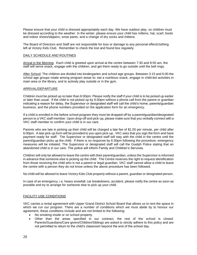Please ensure that your child is dressed appropriately each day. We have outdoor play, so children must be dressed according to the weather. In the winter, please ensure your child has mittens, hat, scarf, boots and indoor shoes/slippers, snow pants, and a change of dry socks and mittens.

The Board of Directors and Staff are not responsible for loss or damage to any personal effect/clothing left at Victory Kids Club. Remember to check the lost and found box regularly.

#### DAILY SCHEDULE AND ROUTINES

Arrival in the Morning: Each child is greeted upon arrival at the centre between 7:30 and 8:50 am, the staff will serve snack, engage with the children, and get them ready to go outside until the bell rings.

After School: The children are divided into kindergarten and school age groups. Between 3:15 and 6:00 the school age groups rotate among program areas to: eat a nutritious snack, engage in child-led activities in main area or the library, and to actively play outside or in the gym.

#### ARRIVAL/DEPARTURE

Children must be picked up no later than 6:00pm. Please notify the staff if your child is to be picked up earlier or later than usual. If the child is not picked up by 6:00pm without a phone call from the parent or guardian indicating a reason for delay, the Supervisor or designated staff will call the child's home, parents/guardian business, and the phone numbers provided on the application form for an emergency.

If a child is enrolled in the before school program they must be dropped off by a parent/guardian/designated person to a VKC staff member. Upon drop-off and pick-up, please make sure that you verbally connect with a VKC staff member to confirm your child is in our care.

Parents who are late in picking up their child will be charged a late fee of \$1.00 per minute, per child after 6:00pm. A late pick-up form will be provided to you upon pick-up. VKC asks that you sign the form and have payment ready for staff. The Supervisor or designated staff will stay with the child in the centre until the parent/guardian picks up the child. If there is no response by 6:30pm following the procedure, emergency measures will be initiated. The Supervisor or designated staff will call the Guelph Police stating that an abandoned child is in our care. The police will inform Family and Children's Services.

Children will only be allowed to leave the centre with their parent/guardian, unless the Supervisor is informed in advance that someone else is picking up the child. The Centre reserves the right to request identification from those receiving the child who is not a parent or legal guardian. VKC staff cannot allow a child to leave the centre with a person they do not know unless the above procedure has been followed.

No child will be allowed to leave Victory Kids Club property without a parent, guardian or designated person.

In case of an emergency, i.e. heavy snowfall, car breakdowns, accident, please notify the centre as soon as possible and try to arrange for someone else to pick up your child.

#### FACILITY USE CONDITIONS

VKC carries a rental agreement with Upper Grand District School Board that allows us to rent the space in which we run our program. There are a number of conditions which we must abide by to honour our agreement, these conditions include and are not limited to the following:

- No smoking inside or on school property.
- Other than the areas specified in our contract, the rest of the school is closed. Parents/Guardians/Care givers/Children/Siblings are asked to strictly adhere to this policy and are not permitted to return to the child's classroom beyond the end of the school day.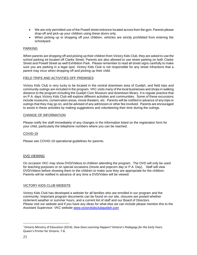- We are only permitted use of the Powell street entrance located across from the gym. Parents please drop-off and pick-up your children using these doors only.
- When picking up or dropping off your children, vehicles are strictly prohibited from entering the schoolyard.

# PARKING

When parents are dropping off and picking up their children from Victory Kids Club, they are asked to use the school parking lot located off Clarke Street. Parents are also allowed to use street parking on both Clarke Street and Powell Street as well Exhibition Park. Please remember to read all street signs carefully to make sure you are parking in a legal spot. Victory Kids Club is not responsible for any street infractions that a parent may incur when dropping off and picking up their child.

#### FIELD TRIPS AND ACTIVITIES OFF PREMISES

Victory Kids Club is very lucky to be located in the central downtown area of Guelph, and field trips and community outings are included in the program. VKC visits many of the local businesses and shops in walking distance to the program including the Guelph Civic Museum and downtown library. It is regular practice that on P.A. days Victory Kids Club will explore different activities and communities. Some of these excursions include museums, conservation areas, movie theaters, etc. Parents will be notified in advance of any trips or outings that they may go on, and be advised of any admission or other fee involved. Parents are encouraged to assist in these activities by making suggestions and volunteering their time during the outings.

#### CHANGE OF INFORMATION

Please notify the staff immediately of any changes in the information listed on the registration form for your child, particularly the telephone numbers where you can be reached.

# COVID-19

Please see COVID-19 operational guidelines for parents.

# DVD VIEWING

On occasion VKC may show DVD/Videos to children attending the program. The DVD will only be used for teaching purposes or on special occasions (movie and popcorn day or P.A. Day). Staff will view DVD/Videos before showing them to the children to make sure they are appropriate for the children. Parents will be notified in advance of any time a DVD/Video will be viewed.

#### VICTORY KIDS CLUB WEBSITE

Victory Kids Club has developed a website for all families who are enrolled in our program and the community. Important program documents can be found on our site, closures are posted whether inclement weather or summer hours, and a current list of staff and our Board of Directors. Please visit our website and if you have any ideas for what else we can include please mention this to the Assistant Supervisor. VKC website [www.victorykidsclubguelph.com](http://www.victorykidsclubguelph.com/)

<sup>i</sup> Ontario Ministry of Education (2014). *How Does Learning Happen? Ontario's Pedagogy for the Early Years*. Queen's Printer for Ontario. 7-8.